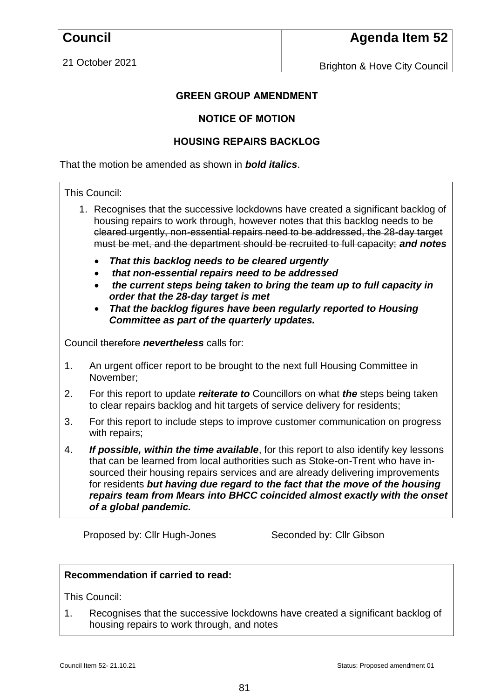21 October 2021

Brighton & Hove City Council

# **GREEN GROUP AMENDMENT**

## **NOTICE OF MOTION**

## **HOUSING REPAIRS BACKLOG**

That the motion be amended as shown in *bold italics*.

#### This Council:

- 1. Recognises that the successive lockdowns have created a significant backlog of housing repairs to work through, however notes that this backlog needs to be cleared urgently, non-essential repairs need to be addressed, the 28-day target must be met, and the department should be recruited to full capacity; *and notes*
	- *That this backlog needs to be cleared urgently*
	- *that non-essential repairs need to be addressed*
	- *the current steps being taken to bring the team up to full capacity in order that the 28-day target is met*
	- *That the backlog figures have been regularly reported to Housing Committee as part of the quarterly updates.*

Council therefore *nevertheless* calls for:

- 1. An urgent officer report to be brought to the next full Housing Committee in November;
- 2. For this report to update *reiterate to* Councillors on what *the* steps being taken to clear repairs backlog and hit targets of service delivery for residents;
- 3. For this report to include steps to improve customer communication on progress with repairs;
- 4. *If possible, within the time available*, for this report to also identify key lessons that can be learned from local authorities such as Stoke-on-Trent who have insourced their housing repairs services and are already delivering improvements for residents *but having due regard to the fact that the move of the housing repairs team from Mears into BHCC coincided almost exactly with the onset of a global pandemic.*

Proposed by: Cllr Hugh-Jones Seconded by: Cllr Gibson

#### **Recommendation if carried to read:**

This Council:

1. Recognises that the successive lockdowns have created a significant backlog of housing repairs to work through, and notes